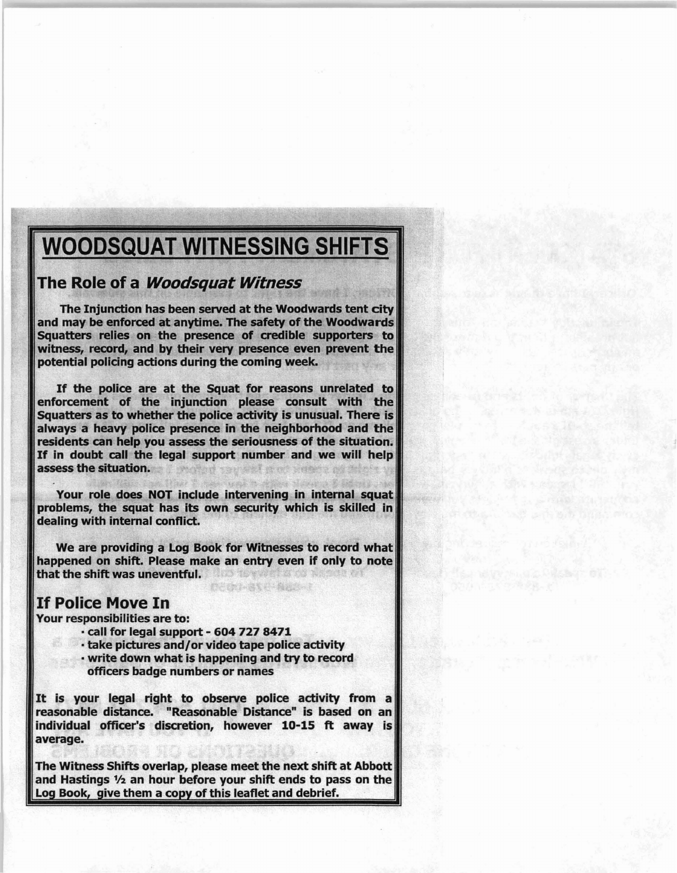## WOODSQUAT WITNESSING SHIFTS

## The Role of a *Woodsquat Witness*

The Injunction has been served at the Woodwards tent city and may be enforced at anytime. The safety of the Woodwards Squatters relies on the presence of credible supporters to witness, record, and by their very presence even prevent the potential policing actions during the coming week.

If the police are at the Squat for reasons unrelated to enforcement of the injunction please consult with the Squatters as to whether the police activity is unusual. There is always a heavy police presence in the neighborhood and the residents can help you assess the seriousness of the situation. If in doubt call the legal support number and we will help assess the situation.

Your role does NOT include intervening in internal squat problems, the squat has its own security which is skilled in dealing with internal conflict.

We are providing a Log Book for Witnesses to record what happened on shift. Please make an entry even if only to note that the shift was uneventful.

的光线 医鼻毛病 精神的人名

## If Police Move In

Your responsibilities are to:

- call for legal support 604 727 8471
- •take pictures and/or video tape police activity
- write down what is happening and try to record officers badge numbers or names

It is your legal right to observe police activity from <sup>a</sup> reasonable distance. "Reasonable Distance" is based on an individual officer's discretion, however 10-15 ft away is average.

The Witness Shifts overlap, please meet the next shift at Abbott and Hastings 1/2 an hour before your shift ends to pass on the Log Book, give them a copy of this leaflet and debrief.